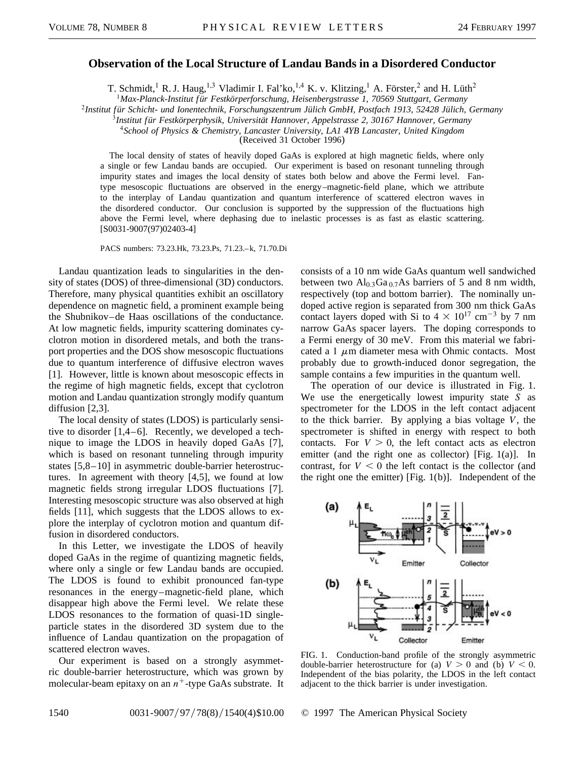## **Observation of the Local Structure of Landau Bands in a Disordered Conductor**

T. Schmidt,<sup>1</sup> R. J. Haug,<sup>1,3</sup> Vladimir I. Fal'ko,<sup>1,4</sup> K. v. Klitzing,<sup>1</sup> A. Förster,<sup>2</sup> and H. Lüth<sup>2</sup>

<sup>1</sup>*Max-Planck-Institut f ür Festkörperforschung, Heisenbergstrasse 1, 70569 Stuttgart, Germany*

<sup>2</sup>Institut für Schicht- und Ionentechnik, Forschungszentrum Jülich GmbH, Postfach 1913, 52428 Jülich, Germany

<sup>3</sup>*Institut f ür Festkörperphysik, Universität Hannover, Appelstrasse 2, 30167 Hannover, Germany*

<sup>4</sup>*School of Physics & Chemistry, Lancaster University, LA1 4YB Lancaster, United Kingdom*

(Received 31 October 1996)

The local density of states of heavily doped GaAs is explored at high magnetic fields, where only a single or few Landau bands are occupied. Our experiment is based on resonant tunneling through impurity states and images the local density of states both below and above the Fermi level. Fantype mesoscopic fluctuations are observed in the energy –magnetic-field plane, which we attribute to the interplay of Landau quantization and quantum interference of scattered electron waves in the disordered conductor. Our conclusion is supported by the suppression of the fluctuations high above the Fermi level, where dephasing due to inelastic processes is as fast as elastic scattering. [S0031-9007(97)02403-4]

PACS numbers: 73.23.Hk, 73.23.Ps, 71.23.-k, 71.70.Di

Landau quantization leads to singularities in the density of states (DOS) of three-dimensional (3D) conductors. Therefore, many physical quantities exhibit an oscillatory dependence on magnetic field, a prominent example being the Shubnikov–de Haas oscillations of the conductance. At low magnetic fields, impurity scattering dominates cyclotron motion in disordered metals, and both the transport properties and the DOS show mesoscopic fluctuations due to quantum interference of diffusive electron waves [1]. However, little is known about mesoscopic effects in the regime of high magnetic fields, except that cyclotron motion and Landau quantization strongly modify quantum diffusion [2,3].

The local density of states (LDOS) is particularly sensitive to disorder [1,4–6]. Recently, we developed a technique to image the LDOS in heavily doped GaAs [7], which is based on resonant tunneling through impurity states [5,8–10] in asymmetric double-barrier heterostructures. In agreement with theory [4,5], we found at low magnetic fields strong irregular LDOS fluctuations [7]. Interesting mesoscopic structure was also observed at high fields [11], which suggests that the LDOS allows to explore the interplay of cyclotron motion and quantum diffusion in disordered conductors.

In this Letter, we investigate the LDOS of heavily doped GaAs in the regime of quantizing magnetic fields, where only a single or few Landau bands are occupied. The LDOS is found to exhibit pronounced fan-type resonances in the energy–magnetic-field plane, which disappear high above the Fermi level. We relate these LDOS resonances to the formation of quasi-1D singleparticle states in the disordered 3D system due to the influence of Landau quantization on the propagation of scattered electron waves.

Our experiment is based on a strongly asymmetric double-barrier heterostructure, which was grown by molecular-beam epitaxy on an  $n^+$ -type GaAs substrate. It consists of a 10 nm wide GaAs quantum well sandwiched between two  $\text{Al}_{0,3}\text{Ga}_{0,7}\text{As}$  barriers of 5 and 8 nm width, respectively (top and bottom barrier). The nominally undoped active region is separated from 300 nm thick GaAs contact layers doped with Si to  $4 \times 10^{17}$  cm<sup>-3</sup> by 7 nm narrow GaAs spacer layers. The doping corresponds to a Fermi energy of 30 meV. From this material we fabricated a 1  $\mu$ m diameter mesa with Ohmic contacts. Most probably due to growth-induced donor segregation, the sample contains a few impurities in the quantum well.

The operation of our device is illustrated in Fig. 1. We use the energetically lowest impurity state *S* as spectrometer for the LDOS in the left contact adjacent to the thick barrier. By applying a bias voltage *V*, the spectrometer is shifted in energy with respect to both contacts. For  $V > 0$ , the left contact acts as electron emitter (and the right one as collector) [Fig. 1(a)]. In contrast, for  $V < 0$  the left contact is the collector (and the right one the emitter) [Fig. 1(b)]. Independent of the



FIG. 1. Conduction-band profile of the strongly asymmetric double-barrier heterostructure for (a)  $V > 0$  and (b)  $V < 0$ . Independent of the bias polarity, the LDOS in the left contact adjacent to the thick barrier is under investigation.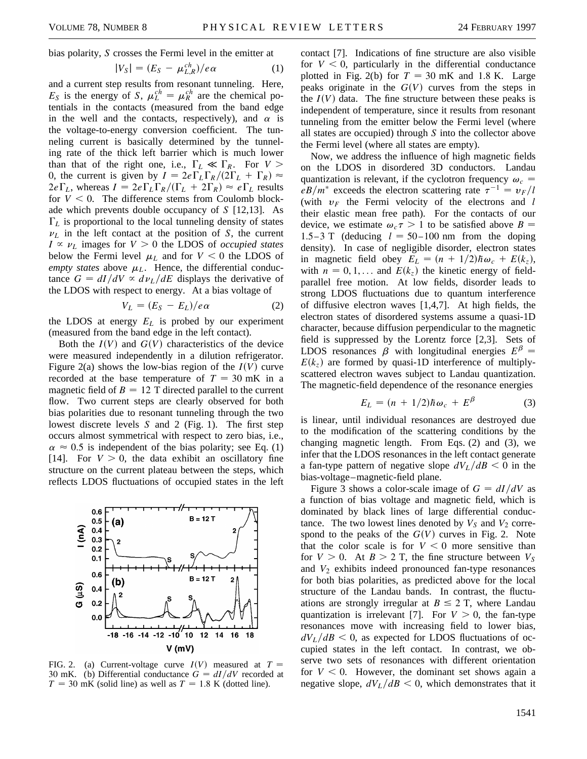bias polarity, *S* crosses the Fermi level in the emitter at

$$
|V_S| = (E_S - \mu_{L,R}^{ch})/e\alpha \qquad (1)
$$

and a current step results from resonant tunneling. Here,  $E_S$  is the energy of *S*,  $\mu_L^{ch} = \mu_R^{ch}$  are the chemical potentials in the contacts (measured from the band edge in the well and the contacts, respectively), and  $\alpha$  is the voltage-to-energy conversion coefficient. The tunneling current is basically determined by the tunneling rate of the thick left barrier which is much lower than that of the right one, i.e.,  $\Gamma_L \ll \Gamma_R$ . For  $V >$ 0, the current is given by  $I = 2e\Gamma_L\Gamma_R/(2\Gamma_L + \Gamma_R) \approx$  $2e\Gamma_L$ , whereas  $I = 2e\Gamma_L\Gamma_R/(\Gamma_L + 2\Gamma_R) \approx e\Gamma_L$  results for  $V < 0$ . The difference stems from Coulomb blockade which prevents double occupancy of *S* [12,13]. As  $\Gamma_L$  is proportional to the local tunneling density of states  $\nu_L$  in the left contact at the position of *S*, the current  $I \propto \nu_L$  images for  $V > 0$  the LDOS of *occupied states* below the Fermi level  $\mu_L$  and for  $V < 0$  the LDOS of *empty states* above  $\mu_L$ . Hence, the differential conductance  $G = dI/dV \propto d\nu_L/dE$  displays the derivative of the LDOS with respect to energy. At a bias voltage of

$$
V_L = (E_S - E_L)/e\alpha \tag{2}
$$

the LDOS at energy  $E<sub>L</sub>$  is probed by our experiment (measured from the band edge in the left contact).

Both the  $I(V)$  and  $G(V)$  characteristics of the device were measured independently in a dilution refrigerator. Figure 2(a) shows the low-bias region of the  $I(V)$  curve recorded at the base temperature of  $T = 30$  mK in a magnetic field of  $B = 12$  T directed parallel to the current flow. Two current steps are clearly observed for both bias polarities due to resonant tunneling through the two lowest discrete levels *S* and 2 (Fig. 1). The first step occurs almost symmetrical with respect to zero bias, i.e.,  $\alpha \approx 0.5$  is independent of the bias polarity; see Eq. (1) [14]. For  $V > 0$ , the data exhibit an oscillatory fine structure on the current plateau between the steps, which reflects LDOS fluctuations of occupied states in the left



FIG. 2. (a) Current-voltage curve  $I(V)$  measured at  $T =$ 30 mK. (b) Differential conductance  $G = dI/dV$  recorded at  $T = 30$  mK (solid line) as well as  $T = 1.8$  K (dotted line).

contact [7]. Indications of fine structure are also visible for  $V < 0$ , particularly in the differential conductance plotted in Fig. 2(b) for  $T = 30$  mK and 1.8 K. Large peaks originate in the  $G(V)$  curves from the steps in the  $I(V)$  data. The fine structure between these peaks is independent of temperature, since it results from resonant tunneling from the emitter below the Fermi level (where all states are occupied) through *S* into the collector above the Fermi level (where all states are empty).

Now, we address the influence of high magnetic fields on the LDOS in disordered 3D conductors. Landau quantization is relevant, if the cyclotron frequency  $\omega_c$  =  $eB/m^*$  exceeds the electron scattering rate  $\tau^{-1} = v_F/l$ (with  $v_F$  the Fermi velocity of the electrons and *l* their elastic mean free path). For the contacts of our device, we estimate  $\omega_c \tau > 1$  to be satisfied above  $B =$ 1.5-3 T (deducing  $l = 50 - 100$  nm from the doping density). In case of negligible disorder, electron states in magnetic field obey  $E_L = (n + 1/2)\hbar\omega_c + E(k_z)$ , with  $n = 0, 1, \ldots$  and  $E(k_z)$  the kinetic energy of fieldparallel free motion. At low fields, disorder leads to strong LDOS fluctuations due to quantum interference of diffusive electron waves [1,4,7]. At high fields, the electron states of disordered systems assume a quasi-1D character, because diffusion perpendicular to the magnetic field is suppressed by the Lorentz force [2,3]. Sets of LDOS resonances  $\beta$  with longitudinal energies  $E^{\beta}$  =  $E(k_z)$  are formed by quasi-1D interference of multiplyscattered electron waves subject to Landau quantization. The magnetic-field dependence of the resonance energies

$$
E_L = (n + 1/2)\hbar\omega_c + E^{\beta} \tag{3}
$$

is linear, until individual resonances are destroyed due to the modification of the scattering conditions by the changing magnetic length. From Eqs. (2) and (3), we infer that the LDOS resonances in the left contact generate a fan-type pattern of negative slope  $dV_L/dB < 0$  in the bias-voltage–magnetic-field plane.

Figure 3 shows a color-scale image of  $G = dI/dV$  as a function of bias voltage and magnetic field, which is dominated by black lines of large differential conductance. The two lowest lines denoted by  $V_S$  and  $V_2$  correspond to the peaks of the  $G(V)$  curves in Fig. 2. Note that the color scale is for  $V < 0$  more sensitive than for  $V > 0$ . At  $B > 2$  T, the fine structure between  $V_S$ and  $V_2$  exhibits indeed pronounced fan-type resonances for both bias polarities, as predicted above for the local structure of the Landau bands. In contrast, the fluctuations are strongly irregular at  $B \le 2$  T, where Landau quantization is irrelevant [7]. For  $V > 0$ , the fan-type resonances move with increasing field to lower bias,  $dV_L/dB < 0$ , as expected for LDOS fluctuations of occupied states in the left contact. In contrast, we observe two sets of resonances with different orientation for  $V < 0$ . However, the dominant set shows again a negative slope,  $dV_L/dB < 0$ , which demonstrates that it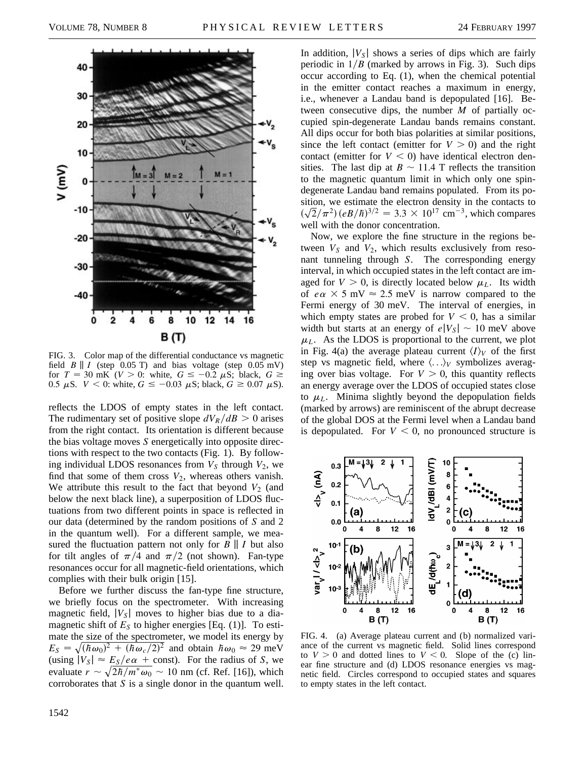

FIG. 3. Color map of the differential conductance vs magnetic field  $B \parallel I$  (step 0.05 T) and bias voltage (step 0.05 mV) for  $T = 30$  mK ( $V > 0$ : white,  $G \le -0.2 \mu S$ ; black,  $G \ge$ 0.5  $\mu$ S. *V* < 0: white, *G*  $\le$  -0.03  $\mu$ S; black, *G*  $\ge$  0.07  $\mu$ S).

reflects the LDOS of empty states in the left contact. The rudimentary set of positive slope  $dV_R/dB > 0$  arises from the right contact. Its orientation is different because the bias voltage moves *S* energetically into opposite directions with respect to the two contacts (Fig. 1). By following individual LDOS resonances from  $V_S$  through  $V_2$ , we find that some of them cross  $V_2$ , whereas others vanish. We attribute this result to the fact that beyond  $V_2$  (and below the next black line), a superposition of LDOS fluctuations from two different points in space is reflected in our data (determined by the random positions of *S* and 2 in the quantum well). For a different sample, we measured the fluctuation pattern not only for  $B \parallel I$  but also for tilt angles of  $\pi/4$  and  $\pi/2$  (not shown). Fan-type resonances occur for all magnetic-field orientations, which complies with their bulk origin [15].

Before we further discuss the fan-type fine structure, we briefly focus on the spectrometer. With increasing magnetic field,  $|V_{S}|$  moves to higher bias due to a diamagnetic shift of  $E<sub>S</sub>$  to higher energies [Eq. (1)]. To estimate the size of the spectrometer, we model its energy by *E<sub>S</sub>* =  $\sqrt{(\hbar \omega_0)^2 + (\hbar \omega_c/2)^2}$  and obtain  $\hbar \omega_0 \approx 29$  meV (using  $|V_S| \approx \frac{E_S}{e\alpha} + \text{const.}$ ). For the radius of *S*, we evaluate  $r \sim \sqrt{2h/m^* \omega_0} \sim 10$  nm (cf. Ref. [16]), which corroborates that *S* is a single donor in the quantum well. In addition,  $|V_S|$  shows a series of dips which are fairly periodic in  $1/B$  (marked by arrows in Fig. 3). Such dips occur according to Eq. (1), when the chemical potential in the emitter contact reaches a maximum in energy, i.e., whenever a Landau band is depopulated [16]. Between consecutive dips, the number *M* of partially occupied spin-degenerate Landau bands remains constant. All dips occur for both bias polarities at similar positions, since the left contact (emitter for  $V > 0$ ) and the right contact (emitter for  $V < 0$ ) have identical electron densities. The last dip at  $B \sim 11.4$  T reflects the transition to the magnetic quantum limit in which only one spindegenerate Landau band remains populated. From its position, we estimate the electron density in the contacts to  $(\sqrt{2}/\pi^2)(eB/\hbar)^{3/2} = 3.3 \times 10^{17}$  cm<sup>-3</sup>, which compares well with the donor concentration.

Now, we explore the fine structure in the regions between  $V_S$  and  $V_2$ , which results exclusively from resonant tunneling through *S*. The corresponding energy interval, in which occupied states in the left contact are imaged for  $V > 0$ , is directly located below  $\mu_L$ . Its width of  $e\alpha \times 5$  mV  $\approx 2.5$  meV is narrow compared to the Fermi energy of 30 meV. The interval of energies, in which empty states are probed for  $V < 0$ , has a similar width but starts at an energy of  $e|V_S| \sim 10$  meV above  $\mu_L$ . As the LDOS is proportional to the current, we plot in Fig. 4(a) the average plateau current  $\langle I \rangle_V$  of the first step vs magnetic field, where  $\langle \ldots \rangle_V$  symbolizes averaging over bias voltage. For  $V > 0$ , this quantity reflects an energy average over the LDOS of occupied states close to  $\mu_L$ . Minima slightly beyond the depopulation fields (marked by arrows) are reminiscent of the abrupt decrease of the global DOS at the Fermi level when a Landau band is depopulated. For  $V < 0$ , no pronounced structure is



FIG. 4. (a) Average plateau current and (b) normalized variance of the current vs magnetic field. Solid lines correspond to  $V > 0$  and dotted lines to  $V < 0$ . Slope of the (c) linear fine structure and (d) LDOS resonance energies vs magnetic field. Circles correspond to occupied states and squares to empty states in the left contact.